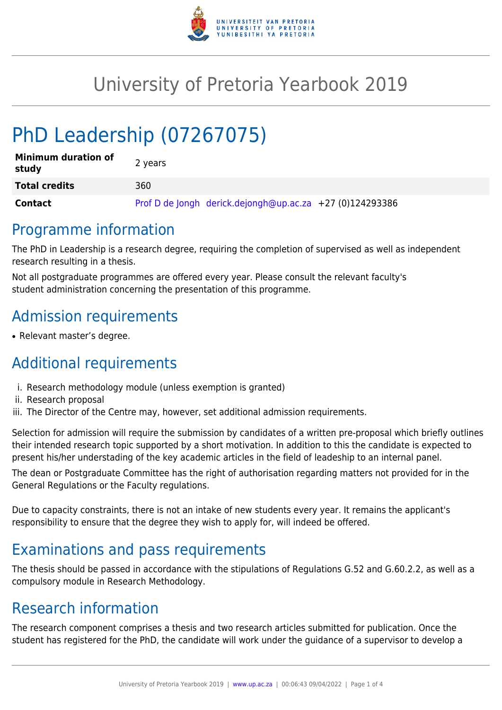

# University of Pretoria Yearbook 2019

# PhD Leadership (07267075)

| <b>Minimum duration of</b><br>study | 2 years                                                  |
|-------------------------------------|----------------------------------------------------------|
| <b>Total credits</b>                | 360                                                      |
| <b>Contact</b>                      | Prof D de Jongh derick.dejongh@up.ac.za +27 (0)124293386 |

### Programme information

The PhD in Leadership is a research degree, requiring the completion of supervised as well as independent research resulting in a thesis.

Not all postgraduate programmes are offered every year. Please consult the relevant faculty's student administration concerning the presentation of this programme.

# Admission requirements

• Relevant master's degree.

# Additional requirements

- i. Research methodology module (unless exemption is granted)
- ii. Research proposal
- iii. The Director of the Centre may, however, set additional admission requirements.

Selection for admission will require the submission by candidates of a written pre-proposal which briefly outlines their intended research topic supported by a short motivation. In addition to this the candidate is expected to present his/her understading of the key academic articles in the field of leadeship to an internal panel.

The dean or Postgraduate Committee has the right of authorisation regarding matters not provided for in the General Regulations or the Faculty regulations.

Due to capacity constraints, there is not an intake of new students every year. It remains the applicant's responsibility to ensure that the degree they wish to apply for, will indeed be offered.

## Examinations and pass requirements

The thesis should be passed in accordance with the stipulations of Regulations G.52 and G.60.2.2, as well as a compulsory module in Research Methodology.

## Research information

The research component comprises a thesis and two research articles submitted for publication. Once the student has registered for the PhD, the candidate will work under the guidance of a supervisor to develop a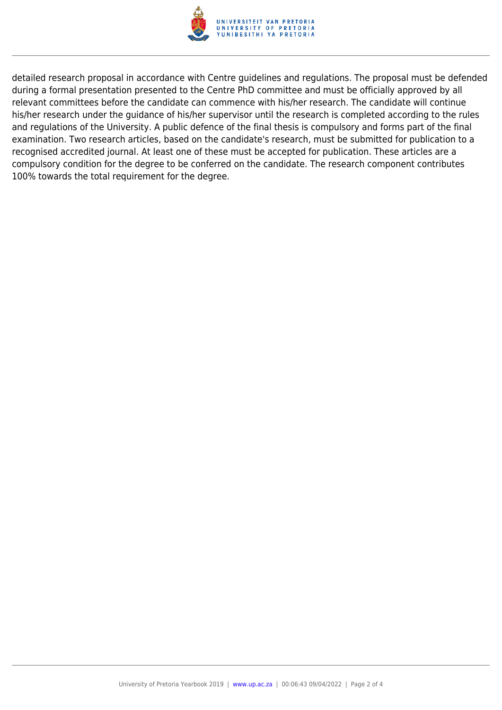

detailed research proposal in accordance with Centre guidelines and regulations. The proposal must be defended during a formal presentation presented to the Centre PhD committee and must be officially approved by all relevant committees before the candidate can commence with his/her research. The candidate will continue his/her research under the guidance of his/her supervisor until the research is completed according to the rules and regulations of the University. A public defence of the final thesis is compulsory and forms part of the final examination. Two research articles, based on the candidate's research, must be submitted for publication to a recognised accredited journal. At least one of these must be accepted for publication. These articles are a compulsory condition for the degree to be conferred on the candidate. The research component contributes 100% towards the total requirement for the degree.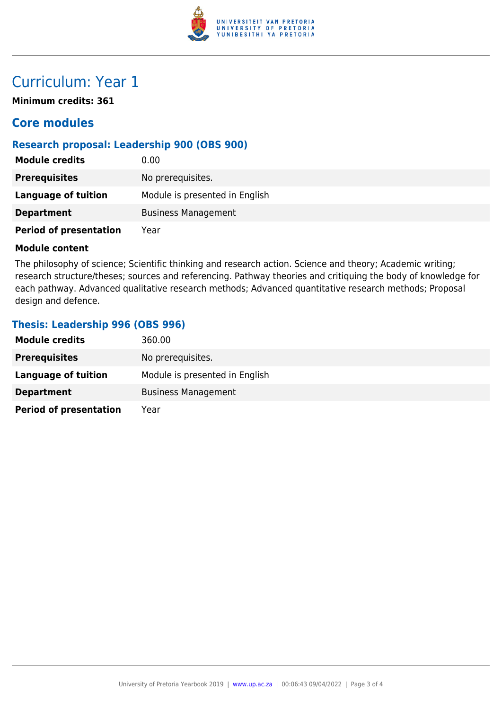

## Curriculum: Year 1

**Minimum credits: 361**

### **Core modules**

### **Research proposal: Leadership 900 (OBS 900)**

| <b>Module credits</b>         | 0.00                           |
|-------------------------------|--------------------------------|
| <b>Prerequisites</b>          | No prerequisites.              |
| <b>Language of tuition</b>    | Module is presented in English |
| <b>Department</b>             | <b>Business Management</b>     |
| <b>Period of presentation</b> | Year                           |

#### **Module content**

The philosophy of science; Scientific thinking and research action. Science and theory; Academic writing; research structure/theses; sources and referencing. Pathway theories and critiquing the body of knowledge for each pathway. Advanced qualitative research methods; Advanced quantitative research methods; Proposal design and defence.

#### **Thesis: Leadership 996 (OBS 996)**

| <b>Module credits</b>         | 360.00                         |
|-------------------------------|--------------------------------|
| <b>Prerequisites</b>          | No prerequisites.              |
| Language of tuition           | Module is presented in English |
| <b>Department</b>             | <b>Business Management</b>     |
| <b>Period of presentation</b> | Year                           |